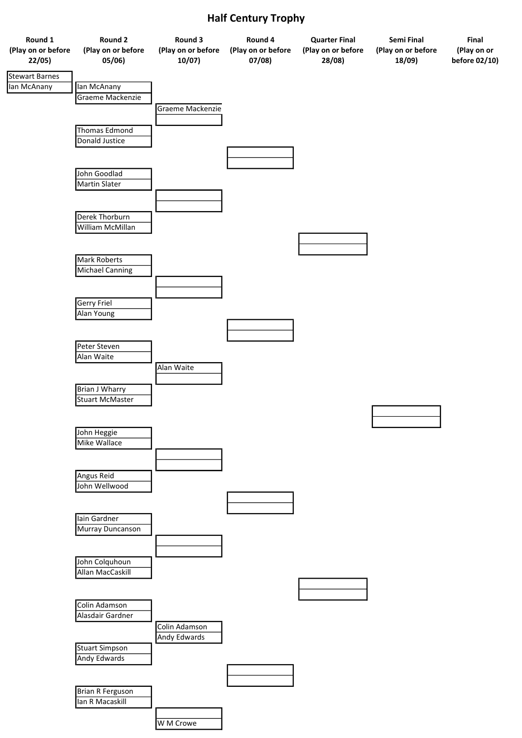

## Half Century Trophy